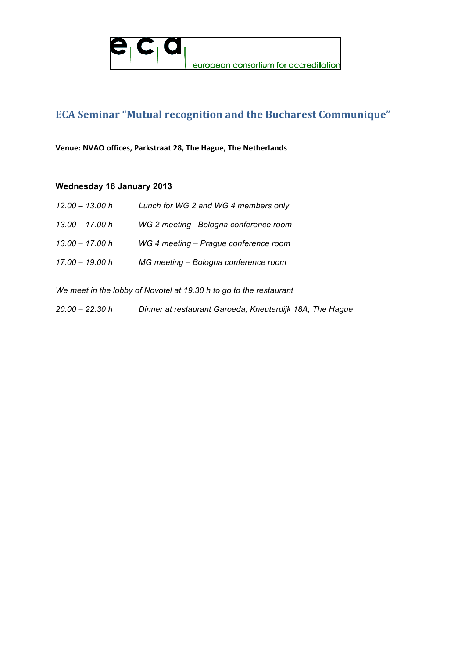

# **ECA Seminar "Mutual recognition and the Bucharest Communique"**

Venue: NVAO offices, Parkstraat 28, The Hague, The Netherlands

### **Wednesday 16 January 2013**

| $12.00 - 13.00 h$ | Lunch for WG 2 and WG 4 members only  |
|-------------------|---------------------------------------|
| 13.00 - 17.00 h   | WG 2 meeting -Bologna conference room |
| $13.00 - 17.00 h$ | WG 4 meeting - Prague conference room |
| 17.00 - 19.00 h   | MG meeting - Bologna conference room  |

*We meet in the lobby of Novotel at 19.30 h to go to the restaurant* 

*20.00 – 22.30 h Dinner at restaurant Garoeda, Kneuterdijk 18A, The Hague*